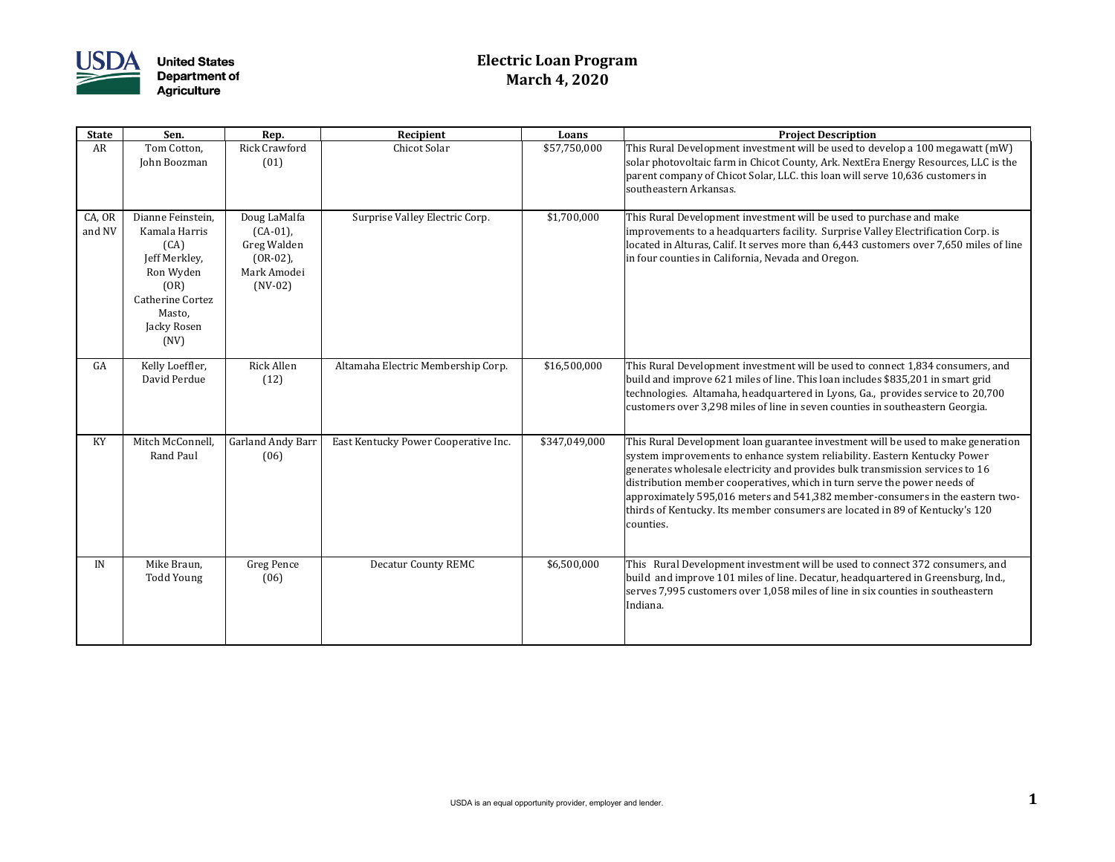

## **Electric Loan Program March 4, 2020**

| <b>State</b>     | Sen.                                                                                                                                         | Rep.                                                                                  | Recipient                            | Loans         | <b>Project Description</b>                                                                                                                                                                                                                                                                                                                                                                                                                                                                               |
|------------------|----------------------------------------------------------------------------------------------------------------------------------------------|---------------------------------------------------------------------------------------|--------------------------------------|---------------|----------------------------------------------------------------------------------------------------------------------------------------------------------------------------------------------------------------------------------------------------------------------------------------------------------------------------------------------------------------------------------------------------------------------------------------------------------------------------------------------------------|
| AR               | Tom Cotton,<br>John Boozman                                                                                                                  | <b>Rick Crawford</b><br>(01)                                                          | Chicot Solar                         | \$57,750,000  | This Rural Development investment will be used to develop a 100 megawatt (mW)<br>solar photovoltaic farm in Chicot County, Ark. NextEra Energy Resources, LLC is the<br>parent company of Chicot Solar, LLC. this loan will serve 10,636 customers in<br>southeastern Arkansas.                                                                                                                                                                                                                          |
| CA, OR<br>and NV | Dianne Feinstein,<br>Kamala Harris<br>(CA)<br>Jeff Merkley,<br>Ron Wyden<br>(OR)<br><b>Catherine Cortez</b><br>Masto,<br>Jacky Rosen<br>(NV) | Doug LaMalfa<br>$(CA-01)$ ,<br>Greg Walden<br>$(OR-02)$ ,<br>Mark Amodei<br>$(NV-02)$ | Surprise Valley Electric Corp.       | \$1,700,000   | This Rural Development investment will be used to purchase and make<br>improvements to a headquarters facility. Surprise Valley Electrification Corp. is<br>located in Alturas, Calif. It serves more than 6,443 customers over 7,650 miles of line<br>in four counties in California, Nevada and Oregon.                                                                                                                                                                                                |
| GA               | Kelly Loeffler,<br>David Perdue                                                                                                              | Rick Allen<br>(12)                                                                    | Altamaha Electric Membership Corp.   | \$16,500,000  | This Rural Development investment will be used to connect 1,834 consumers, and<br>build and improve 621 miles of line. This loan includes \$835,201 in smart grid<br>technologies. Altamaha, headquartered in Lyons, Ga., provides service to 20,700<br>customers over 3,298 miles of line in seven counties in southeastern Georgia.                                                                                                                                                                    |
| KY               | Mitch McConnell,<br>Rand Paul                                                                                                                | <b>Garland Andy Barr</b><br>(06)                                                      | East Kentucky Power Cooperative Inc. | \$347,049,000 | This Rural Development loan guarantee investment will be used to make generation<br>system improvements to enhance system reliability. Eastern Kentucky Power<br>generates wholesale electricity and provides bulk transmission services to 16<br>distribution member cooperatives, which in turn serve the power needs of<br>approximately 595,016 meters and 541,382 member-consumers in the eastern two-<br>thirds of Kentucky. Its member consumers are located in 89 of Kentucky's 120<br>counties. |
| IN               | Mike Braun,<br><b>Todd Young</b>                                                                                                             | Greg Pence<br>(06)                                                                    | <b>Decatur County REMC</b>           | \$6,500,000   | This Rural Development investment will be used to connect 372 consumers, and<br>build and improve 101 miles of line. Decatur, headquartered in Greensburg, Ind.,<br>serves 7,995 customers over 1,058 miles of line in six counties in southeastern<br>Indiana.                                                                                                                                                                                                                                          |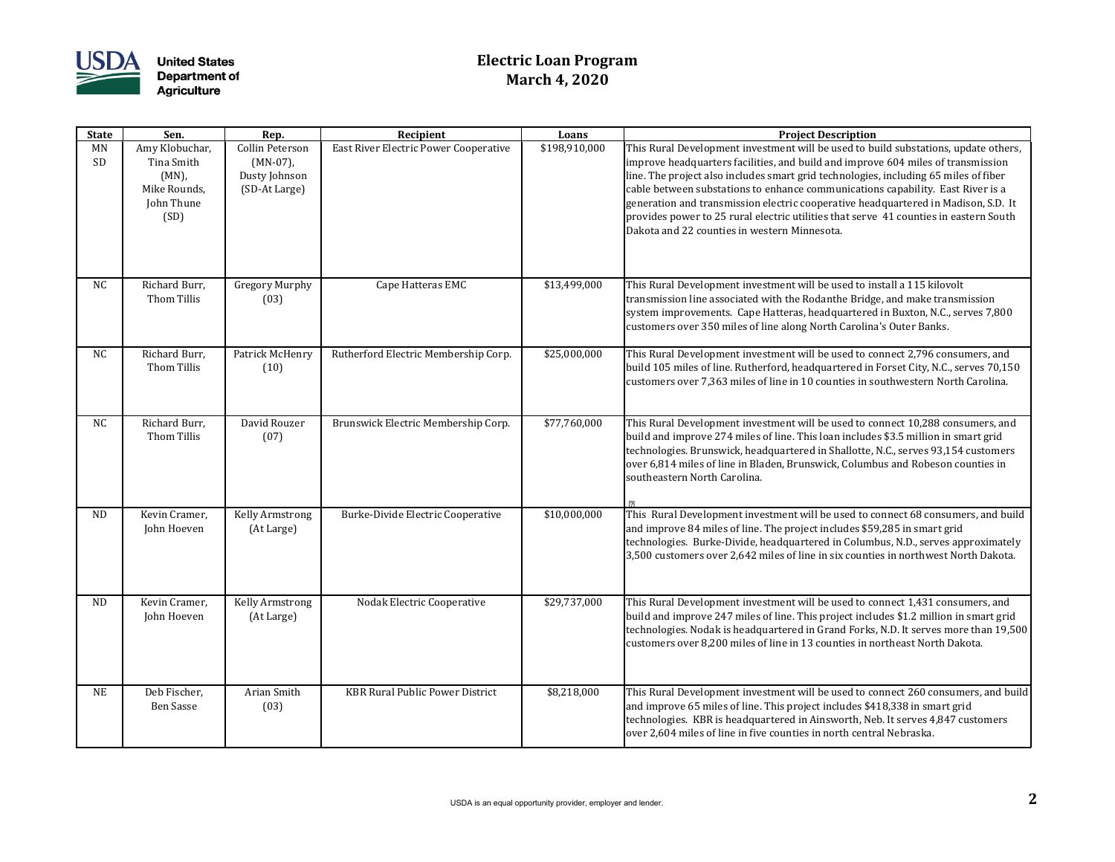

## **Electric Loan Program March 4, 2020**

| <b>State</b>    | Sen.                                                                           | Rep.                                                             | Recipient                              | Loans         | <b>Project Description</b>                                                                                                                                                                                                                                                                                                                                                                                                                                                                                                                                                        |
|-----------------|--------------------------------------------------------------------------------|------------------------------------------------------------------|----------------------------------------|---------------|-----------------------------------------------------------------------------------------------------------------------------------------------------------------------------------------------------------------------------------------------------------------------------------------------------------------------------------------------------------------------------------------------------------------------------------------------------------------------------------------------------------------------------------------------------------------------------------|
| <b>MN</b><br>SD | Amy Klobuchar,<br>Tina Smith<br>$(MN)$ ,<br>Mike Rounds,<br>John Thune<br>(SD) | Collin Peterson<br>$(MN-07)$ ,<br>Dusty Johnson<br>(SD-At Large) | East River Electric Power Cooperative  | \$198,910,000 | This Rural Development investment will be used to build substations, update others,<br>improve headquarters facilities, and build and improve 604 miles of transmission<br>line. The project also includes smart grid technologies, including 65 miles of fiber<br>cable between substations to enhance communications capability. East River is a<br>generation and transmission electric cooperative headquartered in Madison, S.D. It<br>provides power to 25 rural electric utilities that serve 41 counties in eastern South<br>Dakota and 22 counties in western Minnesota. |
| NC              | Richard Burr,<br>Thom Tillis                                                   | <b>Gregory Murphy</b><br>(03)                                    | Cape Hatteras EMC                      | \$13,499,000  | This Rural Development investment will be used to install a 115 kilovolt<br>transmission line associated with the Rodanthe Bridge, and make transmission<br>system improvements. Cape Hatteras, headquartered in Buxton, N.C., serves 7,800<br>customers over 350 miles of line along North Carolina's Outer Banks.                                                                                                                                                                                                                                                               |
| NC              | Richard Burr,<br>Thom Tillis                                                   | Patrick McHenry<br>(10)                                          | Rutherford Electric Membership Corp.   | \$25,000,000  | This Rural Development investment will be used to connect 2,796 consumers, and<br>build 105 miles of line. Rutherford, headquartered in Forset City, N.C., serves 70,150<br>customers over 7,363 miles of line in 10 counties in southwestern North Carolina.                                                                                                                                                                                                                                                                                                                     |
| NC              | Richard Burr,<br>Thom Tillis                                                   | David Rouzer<br>(07)                                             | Brunswick Electric Membership Corp.    | \$77,760,000  | This Rural Development investment will be used to connect 10,288 consumers, and<br>build and improve 274 miles of line. This loan includes \$3.5 million in smart grid<br>technologies. Brunswick, headquartered in Shallotte, N.C., serves 93,154 customers<br>over 6,814 miles of line in Bladen, Brunswick, Columbus and Robeson counties in<br>southeastern North Carolina.                                                                                                                                                                                                   |
| <b>ND</b>       | Kevin Cramer,<br>John Hoeven                                                   | Kelly Armstrong<br>(At Large)                                    | Burke-Divide Electric Cooperative      | \$10,000,000  | This Rural Development investment will be used to connect 68 consumers, and build<br>and improve 84 miles of line. The project includes \$59,285 in smart grid<br>technologies. Burke-Divide, headquartered in Columbus, N.D., serves approximately<br>3,500 customers over 2,642 miles of line in six counties in northwest North Dakota.                                                                                                                                                                                                                                        |
| <b>ND</b>       | Kevin Cramer,<br>John Hoeven                                                   | Kelly Armstrong<br>(At Large)                                    | Nodak Electric Cooperative             | \$29,737,000  | This Rural Development investment will be used to connect 1,431 consumers, and<br>build and improve 247 miles of line. This project includes \$1.2 million in smart grid<br>technologies. Nodak is headquartered in Grand Forks, N.D. It serves more than 19,500<br>customers over 8,200 miles of line in 13 counties in northeast North Dakota.                                                                                                                                                                                                                                  |
| NE              | Deb Fischer,<br><b>Ben Sasse</b>                                               | Arian Smith<br>(03)                                              | <b>KBR Rural Public Power District</b> | \$8,218,000   | This Rural Development investment will be used to connect 260 consumers, and build<br>and improve 65 miles of line. This project includes \$418,338 in smart grid<br>technologies. KBR is headquartered in Ainsworth, Neb. It serves 4,847 customers<br>over 2,604 miles of line in five counties in north central Nebraska.                                                                                                                                                                                                                                                      |